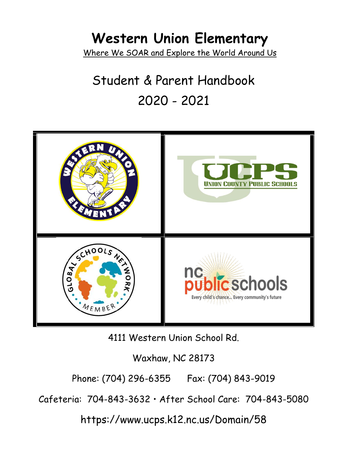### **Western Union Elementary** Where We SOAR and Explore the World Around Us

# Student & Parent Handbook 2020 - 2021



4111 Western Union School Rd.

Waxhaw, NC 28173

Phone: (704) 296-6355 Fax: (704) 843-9019

Cafeteria: 704-843-3632 • After School Care: 704-843-5080

https://www.ucps.k12.nc.us/Domain/58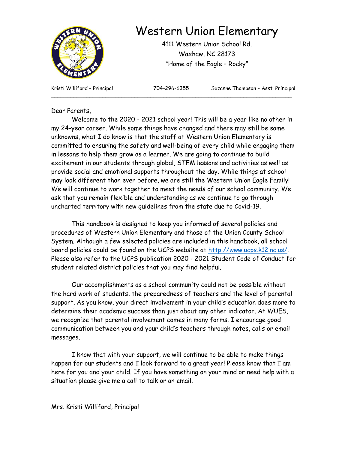

### Western Union Elementary

4111 Western Union School Rd. Waxhaw, NC 28173 "Home of the Eagle – Rocky"

**\_\_\_\_\_\_\_\_\_\_\_\_\_\_\_\_\_\_\_\_\_\_\_\_\_\_\_\_\_\_\_\_\_\_\_\_\_\_\_\_\_\_\_\_\_\_\_\_\_\_\_\_\_\_\_\_\_\_\_\_\_\_\_\_\_\_\_\_\_\_\_\_\_\_\_**

Kristi Williford - Principal **704-296-6355** Suzanne Thompson - Asst. Principal

#### Dear Parents,

Welcome to the 2020 - 2021 school year! This will be a year like no other in my 24-year career. While some things have changed and there may still be some unknowns, what I do know is that the staff at Western Union Elementary is committed to ensuring the safety and well-being of every child while engaging them in lessons to help them grow as a learner. We are going to continue to build excitement in our students through global, STEM lessons and activities as well as provide social and emotional supports throughout the day. While things at school may look different than ever before, we are still the Western Union Eagle Family! We will continue to work together to meet the needs of our school community. We ask that you remain flexible and understanding as we continue to go through uncharted territory with new guidelines from the state due to Covid-19.

This handbook is designed to keep you informed of several policies and procedures of Western Union Elementary and those of the Union County School System. Although a few selected policies are included in this handbook, all school board policies could be found on the UCPS website at [http://www.ucps.k12.nc.us/.](http://www.ucps.k12.nc.us/) Please also refer to the UCPS publication 2020 - 2021 Student Code of Conduct for student related district policies that you may find helpful.

Our accomplishments as a school community could not be possible without the hard work of students, the preparedness of teachers and the level of parental support. As you know, your direct involvement in your child's education does more to determine their academic success than just about any other indicator. At WUES, we recognize that parental involvement comes in many forms. I encourage good communication between you and your child's teachers through notes, calls or email messages.

I know that with your support, we will continue to be able to make things happen for our students and I look forward to a great year! Please know that I am here for you and your child. If you have something on your mind or need help with a situation please give me a call to talk or an email.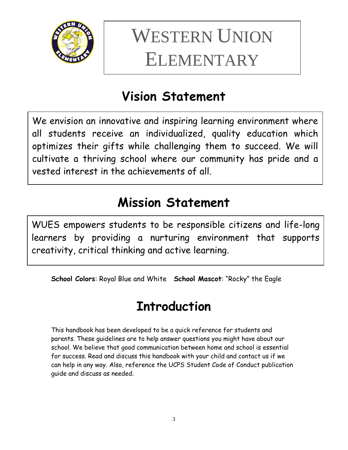

# WESTERN UNION ELEMENTARY

# **Vision Statement**

We envision an innovative and inspiring learning environment where all students receive an individualized, quality education which optimizes their gifts while challenging them to succeed. We will cultivate a thriving school where our community has pride and a vested interest in the achievements of all.

# **Mission Statement**

WUES empowers students to be responsible citizens and life-long learners by providing a nurturing environment that supports creativity, critical thinking and active learning.

**School Colors**: Royal Blue and White **School Mascot**: "Rocky" the Eagle

# **Introduction**

This handbook has been developed to be a quick reference for students and parents. These guidelines are to help answer questions you might have about our school. We believe that good communication between home and school is essential for success. Read and discuss this handbook with your child and contact us if we can help in any way. Also, reference the UCPS Student Code of Conduct publication guide and discuss as needed.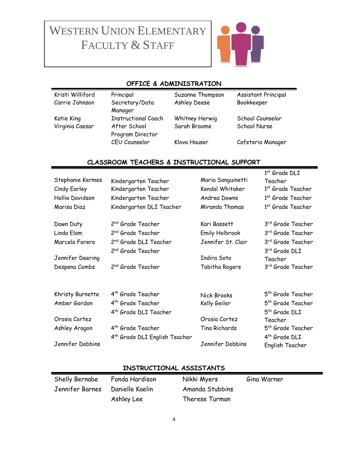# WESTERN UNION ELEMENTARY FACULTY & STAFF



#### **OFFICE & ADMINISTRATION**

| Kristi Williford | Principal                        | Suzanne Thompson | Assistant Principal |
|------------------|----------------------------------|------------------|---------------------|
| Carrie Johnson   | Secretary/Data<br>Manager        | Ashley Deese     | Bookkeeper          |
| Katie King       | <b>Instructional Coach</b>       | Whitney Herwig   | School Counselor    |
| Virginia Caesar  | After School<br>Program Director | Sarah Broome     | School Nurse        |
|                  | CEU Counselor                    | Klova Hauser     | Cafeteria Manager   |

#### **CLASSROOM TEACHERS & INSTRUCTIONAL SUPPORT**

| Stephanie Kermes<br>Cindy Earley<br>Hollie Davidson<br>Marisa Diaz | Kindergarten Teacher<br>Kindergarten Teacher<br>Kindergarten Teacher<br>Kindergarten DLI Teacher | Maria Sanguinetti<br>Kendal Whitaker<br>Andrea Downs<br>Miranda Thomas | 1st Grade DLI<br>Teacher<br>1 <sup>st</sup> Grade Teacher<br>1st Grade Teacher<br>1 <sup>st</sup> Grade Teacher |
|--------------------------------------------------------------------|--------------------------------------------------------------------------------------------------|------------------------------------------------------------------------|-----------------------------------------------------------------------------------------------------------------|
| Dawn Duty                                                          | 2 <sup>nd</sup> Grade Teacher                                                                    | Kari Bassett                                                           | 3 <sup>rd</sup> Grade Teacher                                                                                   |
| Linda Elam                                                         | 2 <sup>nd</sup> Grade Teacher                                                                    | Emily Holbrook                                                         | 3rd Grade Teacher                                                                                               |
| Marcela Forero                                                     | 2 <sup>nd</sup> Grade DLI Teacher<br>2 <sup>nd</sup> Grade Teacher                               | Jennifer St. Clair                                                     | 3rd Grade Teacher<br>3rd Grade DLI                                                                              |
| Jennifer Deering                                                   |                                                                                                  | Indira Soto                                                            | Teacher                                                                                                         |
| Despena Combs                                                      | 2 <sup>nd</sup> Grade Teacher                                                                    | Tabitha Rogers                                                         | 3rd Grade Teacher                                                                                               |
| Khristy Burnette                                                   | 4 <sup>th</sup> Grade Teacher                                                                    | Nick Brooks                                                            | 5 <sup>th</sup> Grade Teacher                                                                                   |
| Amber Gordon                                                       | 4 <sup>th</sup> Grade Teacher<br>4 <sup>th</sup> Grade DLI Teacher                               | Kelly Geiler                                                           | 5 <sup>th</sup> Grade Teacher<br>5 <sup>th</sup> Grade DLI                                                      |
| Orosia Cortez                                                      |                                                                                                  | Orosia Cortez                                                          | Teacher                                                                                                         |
| Ashley Aragon                                                      | 4 <sup>th</sup> Grade Teacher<br>4 <sup>th</sup> Grade DLI English Teacher                       | Tina Richards                                                          | 5 <sup>th</sup> Grade Teacher<br>4 <sup>th</sup> Grade DLI                                                      |
| Jennifer Dobbins                                                   |                                                                                                  | Jennifer Dobbins                                                       | English Teacher                                                                                                 |
|                                                                    |                                                                                                  |                                                                        |                                                                                                                 |

#### **INSTRUCTIONAL ASSISTANTS**

Ashley Lee Therese Turman

Shelly Bernabe Fonda Hardison Nikki Myers Gina Warner Jennifer Barnes Danielle Kaelin Amanda Stubbins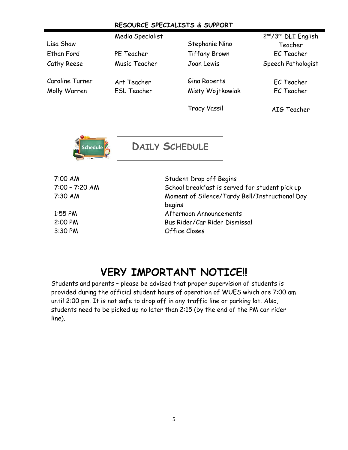#### **RESOURCE SPECIALISTS & SUPPORT**

|                 | Media Specialist   |                      | 2nd/3rd DLI English |
|-----------------|--------------------|----------------------|---------------------|
| Lisa Shaw       |                    | Stephanie Nino       | Teacher             |
| Ethan Ford      | PE Teacher         | <b>Tiffany Brown</b> | EC Teacher          |
| Cathy Reese     | Music Teacher      | Joan Lewis           | Speech Pathologist  |
| Caroline Turner | Art Teacher        | Gina Roberts         | EC Teacher          |
| Molly Warren    | <b>ESL Teacher</b> | Misty Wojtkowiak     | EC Teacher          |
|                 |                    | <b>Tracy Vassil</b>  | AIG Teacher         |



**DAILY SCHEDULE**

| 7:00 AM        | Student Drop off Begins                        |
|----------------|------------------------------------------------|
| 7:00 - 7:20 AM | School breakfast is served for student pick up |
| 7:30 AM        | Moment of Silence/Tardy Bell/Instructional Day |
|                | begins                                         |
| $1:55$ PM      | Afternoon Announcements                        |
| 2:00 PM        | Bus Rider/Car Rider Dismissal                  |
| 3:30 PM        | Office Closes                                  |
|                |                                                |

### **VERY IMPORTANT NOTICE!!**

Students and parents – please be advised that proper supervision of students is provided during the official student hours of operation of WUES which are 7:00 am until 2:00 pm. It is not safe to drop off in any traffic line or parking lot. Also, students need to be picked up no later than 2:15 (by the end of the PM car rider line).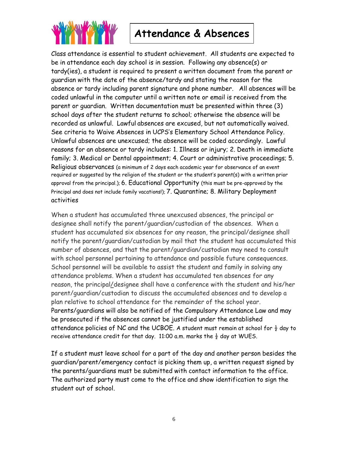

### **Attendance & Absences**

Class attendance is essential to student achievement. All students are expected to be in attendance each day school is in session. Following any absence(s) or tardy(ies), a student is required to present a written document from the parent or guardian with the date of the absence/tardy and stating the reason for the absence or tardy including parent signature and phone number. All absences will be coded unlawful in the computer until a written note or email is received from the parent or guardian. Written documentation must be presented within three (3) school days after the student returns to school; otherwise the absence will be recorded as unlawful. Lawful absences are excused, but not automatically waived. See criteria to Waive Absences in UCPS's Elementary School Attendance Policy. Unlawful absences are unexcused; the absence will be coded accordingly. Lawful reasons for an absence or tardy includes: 1. Illness or injury; 2. Death in immediate family; 3. Medical or Dental appointment; 4. Court or administrative proceedings; 5. Religious observances (a minimum of 2 days each academic year for observance of an event required or suggested by the religion of the student or the student's parent(s) with a written prior approval from the principal.); 6. Educational Opportunity (this must be pre-approved by the Principal and does not include family vacations!); 7. Quarantine; 8. Military Deployment activities

When a student has accumulated three unexcused absences, the principal or designee shall notify the parent/guardian/custodian of the absences. When a student has accumulated six absences for any reason, the principal/designee shall notify the parent/guardian/custodian by mail that the student has accumulated this number of absences, and that the parent/guardian/custodian may need to consult with school personnel pertaining to attendance and possible future consequences. School personnel will be available to assist the student and family in solving any attendance problems. When a student has accumulated ten absences for any reason, the principal/designee shall have a conference with the student and his/her parent/guardian/custodian to discuss the accumulated absences and to develop a plan relative to school attendance for the remainder of the school year. Parents/guardians will also be notified of the Compulsory Attendance Law and may be prosecuted if the absences cannot be justified under the established attendance policies of NC and the UCBOE. A student must remain at school for  $\frac{1}{2}$  day to receive attendance credit for that day. 11:00 a.m. marks the  $\frac{1}{2}$  day at WUES.

If a student must leave school for a part of the day and another person besides the guardian/parent/emergency contact is picking them up, a written request signed by the parents/guardians must be submitted with contact information to the office. The authorized party must come to the office and show identification to sign the student out of school.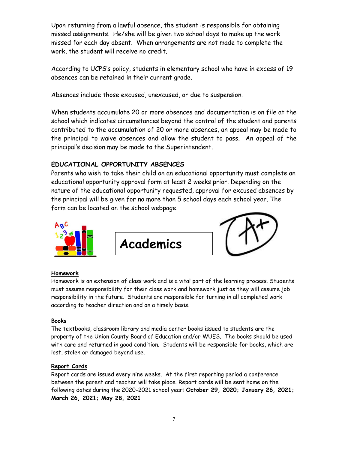Upon returning from a lawful absence, the student is responsible for obtaining missed assignments. He/she will be given two school days to make up the work missed for each day absent. When arrangements are not made to complete the work, the student will receive no credit.

According to UCPS's policy, students in elementary school who have in excess of 19 absences can be retained in their current grade.

Absences include those excused, unexcused, or due to suspension.

When students accumulate 20 or more absences and documentation is on file at the school which indicates circumstances beyond the control of the student and parents contributed to the accumulation of 20 or more absences, an appeal may be made to the principal to waive absences and allow the student to pass. An appeal of the principal's decision may be made to the Superintendent.

#### **EDUCATIONAL OPPORTUNITY ABSENCES**

Parents who wish to take their child on an educational opportunity must complete an educational opportunity approval form at least 2 weeks prior. Depending on the nature of the educational opportunity requested, approval for excused absences by the principal will be given for no more than 5 school days each school year. The form can be located on the school webpage.



**Academics**



#### **Homework**

Homework is an extension of class work and is a vital part of the learning process. Students must assume responsibility for their class work and homework just as they will assume job responsibility in the future. Students are responsible for turning in all completed work according to teacher direction and on a timely basis.

#### **Books**

The textbooks, classroom library and media center books issued to students are the property of the Union County Board of Education and/or WUES. The books should be used with care and returned in good condition. Students will be responsible for books, which are lost, stolen or damaged beyond use.

#### **Report Cards**

Report cards are issued every nine weeks. At the first reporting period a conference between the parent and teacher will take place. Report cards will be sent home on the following dates during the 2020-2021 school year: **October 29, 2020; January 26, 2021; March 26, 2021; May 28, 2021**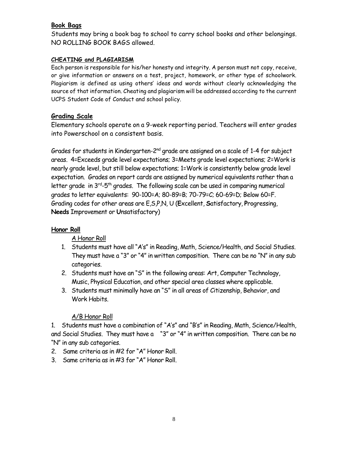#### **Book Bags**

Students may bring a book bag to school to carry school books and other belongings. NO ROLLING BOOK BAGS allowed.

#### **CHEATING and PLAGIARISM**

Each person is responsible for his/her honesty and integrity. A person must not copy, receive, or give information or answers on a test, project, homework, or other type of schoolwork. Plagiarism is defined as using others' ideas and words without clearly acknowledging the source of that information. Cheating and plagiarism will be addressed according to the current UCPS Student Code of Conduct and school policy.

#### **Grading Scale**

Elementary schools operate on a 9-week reporting period. Teachers will enter grades into Powerschool on a consistent basis.

Grades for students in Kindergarten-2nd grade are assigned on a scale of 1-4 for subject areas. 4=Exceeds grade level expectations; 3=Meets grade level expectations; 2=Work is nearly grade level, but still below expectations; 1=Work is consistently below grade level expectation. Grades on report cards are assigned by numerical equivalents rather than a letter grade in 3rd-5th grades. The following scale can be used in comparing numerical grades to letter equivalents: 90-100=A; 80-89=B; 70-79=C; 60-69=D; Below 60=F. Grading codes for other areas are E,S,P,N, U (**E**xcellent, **S**atisfactory, **P**rogressing, **Needs** Improvement or **U**nsatisfactory)

#### **Honor Roll**

#### A Honor Roll

- 1. Students must have all "A's" in Reading, Math, Science/Health, and Social Studies. They must have a "3" or "4" in written composition. There can be no "N" in any sub categories.
- 2. Students must have an "S" in the following areas: Art, Computer Technology, Music, Physical Education, and other special area classes where applicable.
- 3. Students must minimally have an "S" in all areas of Citizenship, Behavior, and Work Habits.

#### A/B Honor Roll

1. Students must have a combination of "A's" and "B's" in Reading, Math, Science/Health, and Social Studies. They must have a "3" or "4" in written composition. There can be no "N" in any sub categories.

- 2. Same criteria as in #2 for "A" Honor Roll.
- 3. Same criteria as in #3 for "A" Honor Roll.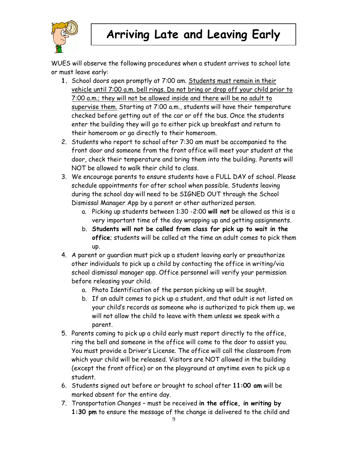

WUES will observe the following procedures when a student arrives to school late or must leave early:

- **1.** School doors open promptly at 7:00 am. Students must remain in their vehicle until 7:00 a.m. bell rings. Do not bring or drop off your child prior to 7:00 a.m.; they will not be allowed inside and there will be no adult to supervise them. Starting at 7:00 a.m., students will have their temperature checked before getting out of the car or off the bus. Once the students enter the building they will go to either pick up breakfast and return to their homeroom or go directly to their homeroom.
- 2. Students who report to school after 7:30 am must be accompanied to the front door and someone from the front office will meet your student at the door, check their temperature and bring them into the building. Parents will NOT be allowed to walk their child to class.
- 3. We encourage parents to ensure students have a FULL DAY of school. Please schedule appointments for after school when possible. Students leaving during the school day will need to be SIGNED OUT through the School Dismissal Manager App by a parent or other authorized person.
	- a. Picking up students between 1:30 -2:00 **will not** be allowed as this is a very important time of the day wrapping up and getting assignments.
	- b. **Students will not be called from class for pick up to wait in the office**; students will be called at the time an adult comes to pick them up.
- 4. A parent or guardian must pick up a student leaving early or preauthorize other individuals to pick up a child by contacting the office in writing/via school dismissal manager app. Office personnel will verify your permission before releasing your child.
	- a. Photo Identification of the person picking up will be sought.
	- b. If an adult comes to pick up a student, and that adult is not listed on your child's records as someone who is authorized to pick them up, we will not allow the child to leave with them unless we speak with a parent.
- 5. Parents coming to pick up a child early must report directly to the office, ring the bell and someone in the office will come to the door to assist you. You must provide a Driver's License. The office will call the classroom from which your child will be released. Visitors are NOT allowed in the building (except the front office) or on the playground at anytime even to pick up a student.
- 6. Students signed out before or brought to school after **11:00 am** will be marked absent for the entire day.
- 7. Transportation Changes must be received **in the office, in writing by 1:30 pm** to ensure the message of the change is delivered to the child and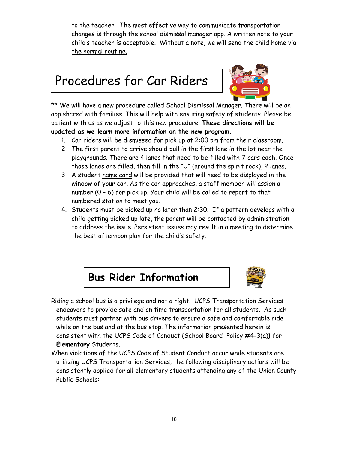to the teacher. The most effective way to communicate transportation changes is through the school dismissal manager app. A written note to your child's teacher is acceptable. Without a note, we will send the child home via the normal routine.

# Procedures for Car Riders



\*\* We will have a new procedure called School Dismissal Manager. There will be an app shared with families. This will help with ensuring safety of students. Please be patient with us as we adjust to this new procedure. **These directions will be updated as we learn more information on the new program.**

- 1. Car riders will be dismissed for pick up at 2:00 pm from their classroom.
- 2. The first parent to arrive should pull in the first lane in the lot near the playgrounds. There are 4 lanes that need to be filled with 7 cars each. Once those lanes are filled, then fill in the "U" (around the spirit rock), 2 lanes.
- 3. A student name card will be provided that will need to be displayed in the window of your car. As the car approaches, a staff member will assign a number (0 – 6) for pick up. Your child will be called to report to that numbered station to meet you.
- 4. Students must be picked up no later than 2:30. If a pattern develops with a child getting picked up late, the parent will be contacted by administration to address the issue. Persistent issues may result in a meeting to determine the best afternoon plan for the child's safety.





- Riding a school bus is a privilege and not a right. UCPS Transportation Services endeavors to provide safe and on time transportation for all students. As such students must partner with bus drivers to ensure a safe and comfortable ride while on the bus and at the bus stop. The information presented herein is consistent with the UCPS Code of Conduct {School Board Policy #4-3(a)} for **Elementary** Students.
- When violations of the UCPS Code of Student Conduct occur while students are utilizing UCPS Transportation Services, the following disciplinary actions will be consistently applied for all elementary students attending any of the Union County Public Schools: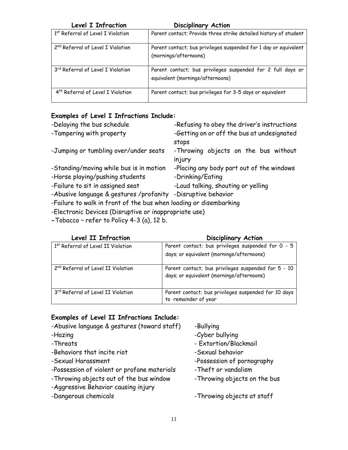| Level I Infraction                            | <b>Disciplinary Action</b>                                                                      |
|-----------------------------------------------|-------------------------------------------------------------------------------------------------|
| 1st Referral of Level I Violation             | Parent contact; Provide three strike detailed history of student                                |
| 2 <sup>nd</sup> Referral of Level I Violation | Parent contact; bus privileges suspended for 1 day or equivalent<br>(mornings/afternoons)       |
| 3rd Referral of Level I Violation             | Parent contact; bus privileges suspended for 2 full days or<br>equivalent (mornings/afternoons) |
| 4 <sup>th</sup> Referral of Level I Violation | Parent contact; bus privileges for 3-5 days or equivalent                                       |

#### **Examples of Level I Infractions Include:**

| -Delaying the bus schedule                                        | -Refusing to obey the driver's instructions |  |
|-------------------------------------------------------------------|---------------------------------------------|--|
| -Tampering with property                                          | -Getting on or off the bus at undesignated  |  |
|                                                                   | stops                                       |  |
| -Jumping or tumbling over/under seats                             | -Throwing objects on the bus without        |  |
|                                                                   | injury                                      |  |
| -Standing/moving while bus is in motion                           | -Placing any body part out of the windows   |  |
| -Horse playing/pushing students                                   | -Drinking/Eating                            |  |
| -Failure to sit in assigned seat                                  | -Loud talking, shouting or yelling          |  |
| -Abusive language & gestures /profanity                           | -Disruptive behavior                        |  |
| -Failure to walk in front of the bus when loading or disembarking |                                             |  |
|                                                                   |                                             |  |

- -Electronic Devices (Disruptive or inappropriate use)
- **-**Tobacco refer to Policy 4-3 (a), 12 b.

#### **Level II Infraction Disciplinary Action**

| <b>LEVEL LL LIII ULIIUII</b>                   | UISCIPIIIUI Y ACTIVII                                                                            |
|------------------------------------------------|--------------------------------------------------------------------------------------------------|
| 1st Referral of Level II Violation             | Parent contact; bus privileges suspended for 0 - 5<br>days; or equivalent (mornings/afternoons)  |
| 2 <sup>nd</sup> Referral of Level II Violation | Parent contact; bus privileges suspended for 5 - 10<br>days; or equivalent (mornings/afternoons) |
| 3rd Referral of Level II Violation             | Parent contact; bus privileges suspended for 10 days<br>to remainder of year                     |

#### **Examples of Level II Infractions Include:**

| -Abusive language & gestures (toward staff) | -Bullying                    |
|---------------------------------------------|------------------------------|
| -Hazing                                     | -Cyber bullying              |
| -Threats                                    | - Extortion/Blackmail        |
| -Behaviors that incite riot                 | -Sexual behavior             |
| -Sexual Harassment                          | -Possession of pornography   |
| -Possession of violent or profane materials | -Theft or vandalism          |
| -Throwing objects out of the bus window     | -Throwing objects on the bus |
| -Aggressive Behavior causing injury         |                              |
| -Dangerous chemicals                        | -Throwing objects at staff   |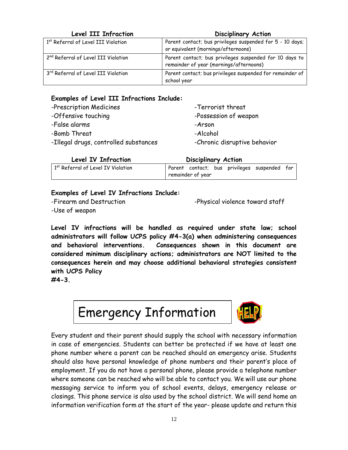#### **Level III Infraction Disciplinary Action**

| 1st Referral of Level III Violation             | Parent contact; bus privileges suspended for 5 - 10 days;<br>or equivalent (mornings/afternoons)   |
|-------------------------------------------------|----------------------------------------------------------------------------------------------------|
| 2 <sup>nd</sup> Referral of Level III Violation | Parent contact; bus privileges suspended for 10 days to<br>remainder of year (mornings/afternoons) |
| 3rd Referral of Level III Violation             | Parent contact; bus privileges suspended for remainder of<br>school year                           |

#### **Examples of Level III Infractions Include:**

| -Prescription Medicines               | -Terrorist threat            |
|---------------------------------------|------------------------------|
| -Offensive touching                   | -Possession of weapon        |
| -False alarms                         | -Arson                       |
| -Bomb Threat                          | -Alcohol                     |
| -Illegal drugs, controlled substances | -Chronic disruptive behavior |

| Level IV Infraction                            | <b>Disciplinary Action</b>                   |  |  |
|------------------------------------------------|----------------------------------------------|--|--|
| 1 <sup>st</sup> Referral of Level IV Violation | Parent contact; bus privileges suspended for |  |  |
|                                                | remainder of year                            |  |  |

#### **Examples of Level IV Infractions Include:**

-Use of weapon

-Firearm and Destruction extending the physical violence toward staff

**Level IV infractions will be handled as required under state law; school administrators will follow UCPS policy #4-3(a) when administering consequences and behavioral interventions. Consequences shown in this document are considered minimum disciplinary actions; administrators are NOT limited to the consequences herein and may choose additional behavioral strategies consistent with UCPS Policy** 

**#4-3.**



Every student and their parent should supply the school with necessary information in case of emergencies. Students can better be protected if we have at least one phone number where a parent can be reached should an emergency arise. Students should also have personal knowledge of phone numbers and their parent's place of employment. If you do not have a personal phone, please provide a telephone number where someone can be reached who will be able to contact you. We will use our phone messaging service to inform you of school events, delays, emergency release or closings. This phone service is also used by the school district. We will send home an information verification form at the start of the year- please update and return this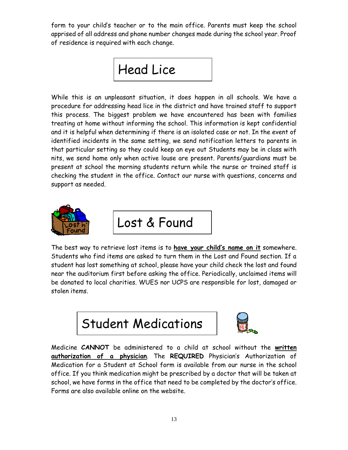form to your child's teacher or to the main office. Parents must keep the school apprised of all address and phone number changes made during the school year. Proof of residence is required with each change.



While this is an unpleasant situation, it does happen in all schools. We have a procedure for addressing head lice in the district and have trained staff to support this process. The biggest problem we have encountered has been with families treating at home without informing the school. This information is kept confidential and it is helpful when determining if there is an isolated case or not. In the event of identified incidents in the same setting, we send notification letters to parents in that particular setting so they could keep an eye out Students may be in class with nits, we send home only when active louse are present. Parents/guardians must be present at school the morning students return while the nurse or trained staff is checking the student in the office. Contact our nurse with questions, concerns and support as needed.



Lost & Found

The best way to retrieve lost items is to **have your child's name on it** somewhere. Students who find items are asked to turn them in the Lost and Found section. If a student has lost something at school, please have your child check the lost and found near the auditorium first before asking the office. Periodically, unclaimed items will be donated to local charities. WUES nor UCPS are responsible for lost, damaged or stolen items.





Medicine **CANNOT** be administered to a child at school without the **written authorization of a physician**. The **REQUIRED** Physician's Authorization of Medication for a Student at School form is available from our nurse in the school office. If you think medication might be prescribed by a doctor that will be taken at school, we have forms in the office that need to be completed by the doctor's office. Forms are also available online on the website.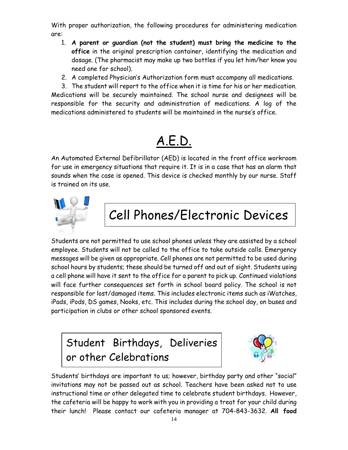With proper authorization, the following procedures for administering medication are:

- 1. **A parent or guardian (not the student) must bring the medicine to the office** in the original prescription container, identifying the medication and dosage. (The pharmacist may make up two bottles if you let him/her know you need one for school).
- 2. A completed Physician's Authorization form must accompany all medications.
- 3. The student will report to the office when it is time for his or her medication.

Medications will be securely maintained. The school nurse and designees will be responsible for the security and administration of medications. A log of the medications administered to students will be maintained in the nurse's office.

# A.E.D.

An Automated External Defibrillator (AED) is located in the front office workroom for use in emergency situations that require it. It is in a case that has an alarm that sounds when the case is opened. This device is checked monthly by our nurse. Staff is trained on its use.



# Cell Phones/Electronic Devices

Students are not permitted to use school phones unless they are assisted by a school employee. Students will not be called to the office to take outside calls. Emergency messages will be given as appropriate. Cell phones are not permitted to be used during school hours by students; these should be turned off and out of sight. Students using a cell phone will have it sent to the office for a parent to pick up. Continued violations will face further consequences set forth in school board policy. The school is not responsible for lost/damaged items. This includes electronic items such as iWatches, iPads, iPods, DS games, Nooks, etc. This includes during the school day, on buses and participation in clubs or other school sponsored events.





Students' birthdays are important to us; however, birthday party and other "social" invitations may not be passed out as school. Teachers have been asked not to use instructional time or other delegated time to celebrate student birthdays. However, the cafeteria will be happy to work with you in providing a treat for your child during their lunch! Please contact our cafeteria manager at 704-843-3632. **All food**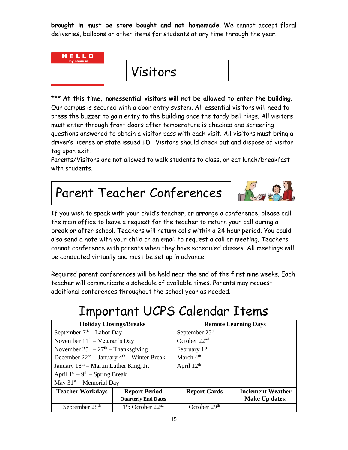**brought in must be store bought and not homemade**. We cannot accept floral deliveries, balloons or other items for students at any time through the year.



Visitors

\*\*\* **At this time, nonessential visitors will not be allowed to enter the building**. Our campus is secured with a door entry system. All essential visitors will need to press the buzzer to gain entry to the building once the tardy bell rings. All visitors must enter through front doors after temperature is checked and screening questions answered to obtain a visitor pass with each visit. All visitors must bring a driver's license or state issued ID. Visitors should check out and dispose of visitor tag upon exit.

Parents/Visitors are not allowed to walk students to class, or eat lunch/breakfast with students.

# Parent Teacher Conferences



If you wish to speak with your child's teacher, or arrange a conference, please call the main office to leave a request for the teacher to return your call during a break or after school. Teachers will return calls within a 24 hour period. You could also send a note with your child or an email to request a call or meeting. Teachers cannot conference with parents when they have scheduled classes. All meetings will be conducted virtually and must be set up in advance.

Required parent conferences will be held near the end of the first nine weeks. Each teacher will communicate a schedule of available times. Parents may request additional conferences throughout the school year as needed.

# Important UCPS Calendar Items

| <b>Holiday Closings/Breaks</b>               |                            | <b>Remote Learning Days</b> |                          |  |
|----------------------------------------------|----------------------------|-----------------------------|--------------------------|--|
| September $7th$ – Labor Day                  |                            | September $25th$            |                          |  |
| November $11th - Veteran's Day$              |                            | October $22nd$              |                          |  |
| November $25th - 27th - Thanksgiving$        |                            | February 12 <sup>th</sup>   |                          |  |
| December $22nd - January 4th - Winter Break$ |                            | March $4th$                 |                          |  |
| January $18th$ – Martin Luther King, Jr.     |                            | April $12th$                |                          |  |
| April $1st - 9th -$ Spring Break             |                            |                             |                          |  |
| May $31st$ – Memorial Day                    |                            |                             |                          |  |
| <b>Teacher Workdays</b>                      | <b>Report Period</b>       | <b>Report Cards</b>         | <b>Inclement Weather</b> |  |
|                                              | <b>Quarterly End Dates</b> |                             | Make Up dates:           |  |
| September 28 <sup>th</sup>                   | $1st$ : October $22nd$     | October $29th$              |                          |  |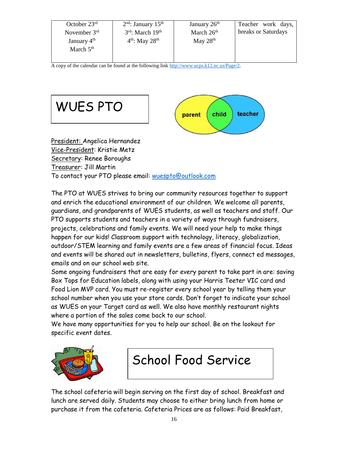| October $23rd$ | $2nd$ : January 15 <sup>th</sup> | January 26 <sup>th</sup> | Teacher work days,  |
|----------------|----------------------------------|--------------------------|---------------------|
| November $3rd$ | $3rd$ : March $19th$             | March $26th$             | breaks or Saturdays |
| January $4th$  | $4th$ : May 28 <sup>th</sup>     | May $28th$               |                     |
| March $5th$    |                                  |                          |                     |
|                |                                  |                          |                     |

A copy of the calendar can be found at the following lin[k http://www.ucps.k12.nc.us/Page/2.](http://www.ucps.k12.nc.us/Page/2)



Secretary: Renee Boroughs Treasurer: Jill Martin

To contact your PTO please email: [wuespto@outlook.com](mailto:wuespto@outlook.com)

The PTO at WUES strives to bring our community resources together to support and enrich the educational environment of our children. We welcome all parents, guardians, and grandparents of WUES students, as well as teachers and staff. Our PTO supports students and teachers in a variety of ways through fundraisers, projects, celebrations and family events. We will need your help to make things happen for our kids! Classroom support with technology, literacy, globalization, outdoor/STEM learning and family events are a few areas of financial focus. Ideas and events will be shared out in newsletters, bulletins, flyers, connect ed messages, emails and on our school web site.

Some ongoing fundraisers that are easy for every parent to take part in are: saving Box Tops for Education labels, along with using your Harris Teeter VIC card and Food Lion MVP card. You must re-register every school year by telling them your school number when you use your store cards. Don't forget to indicate your school as WUES on your Target card as well. We also have monthly restaurant nights where a portion of the sales come back to our school.

We have many opportunities for you to help our school. Be on the lookout for specific event dates.



# School Food Service

The school cafeteria will begin serving on the first day of school. Breakfast and lunch are served daily. Students may choose to either bring lunch from home or purchase it from the cafeteria. Cafeteria Prices are as follows: Paid Breakfast,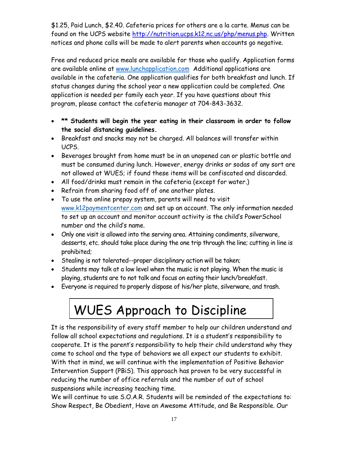\$1.25, Paid Lunch, \$2.40. Cafeteria prices for others are a la carte. Menus can be found on the UCPS website [http://nutrition.ucps.k12.nc.us/php/menus.php.](http://nutrition.ucps.k12.nc.us/php/menus.php) Written notices and phone calls will be made to alert parents when accounts go negative.

Free and reduced price meals are available for those who qualify. Application forms are available online at [www.lunchapplication.com](http://www.lunchapplication.com/) Additional applications are available in the cafeteria. One application qualifies for both breakfast and lunch. If status changes during the school year a new application could be completed. One application is needed per family each year. If you have questions about this program, please contact the cafeteria manager at 704-843-3632.

- **\*\* Students will begin the year eating in their classroom in order to follow the social distancing guidelines.**
- Breakfast and snacks may not be charged. All balances will transfer within UCPS.
- Beverages brought from home must be in an unopened can or plastic bottle and must be consumed during lunch. However, energy drinks or sodas of any sort are not allowed at WUES; if found these items will be confiscated and discarded.
- All food/drinks must remain in the cafeteria (except for water.)
- Refrain from sharing food off of one another plates.
- To use the online prepay system, parents will need to visit [www.k12paymentcenter.com](http://www.k12paymentcenter.com/) and set up an account. The only information needed to set up an account and monitor account activity is the child's PowerSchool number and the child's name.
- Only one visit is allowed into the serving area. Attaining condiments, silverware, desserts, etc. should take place during the one trip through the line; cutting in line is prohibited;
- Stealing is not tolerated--proper disciplinary action will be taken;
- Students may talk at a low level when the music is not playing. When the music is playing, students are to not talk and focus on eating their lunch/breakfast.
- Everyone is required to properly dispose of his/her plate, silverware, and trash.

# WUES Approach to Discipline

It is the responsibility of every staff member to help our children understand and follow all school expectations and regulations. It is a student's responsibility to cooperate. It is the parent's responsibility to help their child understand why they come to school and the type of behaviors we all expect our students to exhibit. With that in mind, we will continue with the implementation of Positive Behavior Intervention Support (PBiS). This approach has proven to be very successful in reducing the number of office referrals and the number of out of school suspensions while increasing teaching time.

We will continue to use S.O.A.R. Students will be reminded of the expectations to: Show Respect, Be Obedient, Have an Awesome Attitude, and Be Responsible. Our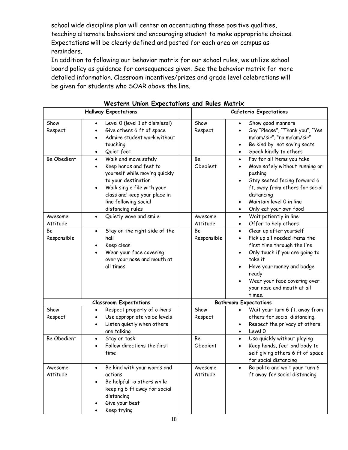school wide discipline plan will center on accentuating these positive qualities, teaching alternate behaviors and encouraging student to make appropriate choices. Expectations will be clearly defined and posted for each area on campus as reminders.

In addition to following our behavior matrix for our school rules, we utilize school board policy as guidance for consequences given. See the behavior matrix for more detailed information. Classroom incentives/prizes and grade level celebrations will be given for students who SOAR above the line.

|                     | <b>Hallway Expectations</b>                                                                                                                                                                                                                 |                     | <b>Cafeteria Expectations</b>                                                                                                                                                                                                                                                            |
|---------------------|---------------------------------------------------------------------------------------------------------------------------------------------------------------------------------------------------------------------------------------------|---------------------|------------------------------------------------------------------------------------------------------------------------------------------------------------------------------------------------------------------------------------------------------------------------------------------|
| Show<br>Respect     | Level 0 (level 1 at dismissal)<br>Give others 6 ft of space<br>Admire student work without<br>touching<br>Quiet feet<br>$\bullet$                                                                                                           | Show<br>Respect     | Show good manners<br>$\bullet$<br>Say "Please", "Thank you", "Yes<br>٠<br>ma'am/sir", "no ma'am/sir"<br>Be kind by not saving seats<br>$\bullet$<br>Speak kindly to others                                                                                                               |
| Be Obedient         | Walk and move safely<br>$\bullet$<br>Keep hands and feet to<br>$\bullet$<br>yourself while moving quickly<br>to your destination<br>Walk single file with your<br>class and keep your place in<br>line following social<br>distancing rules | Be<br>Obedient      | Pay for all items you take<br>$\bullet$<br>Move safely without running or<br>$\bullet$<br>pushing<br>Stay seated facing forward 6<br>$\bullet$<br>ft. away from others for social<br>distancing<br>Maintain level 0 in line<br>Only eat your own food<br>$\bullet$                       |
| Awesome<br>Attitude | Quietly wave and smile<br>$\bullet$                                                                                                                                                                                                         | Awesome<br>Attitude | Wait patiently in line<br>$\bullet$<br>Offer to help others<br>$\bullet$                                                                                                                                                                                                                 |
| Be<br>Responsible   | Stay on the right side of the<br>$\bullet$<br>hall<br>Keep clean<br>Wear your face covering<br>over your nose and mouth at<br>all times.                                                                                                    | Be<br>Responsible   | Clean up after yourself<br>$\bullet$<br>Pick up all needed items the<br>$\bullet$<br>first time through the line<br>Only touch if you are going to<br>$\bullet$<br>take it<br>Have your money and badge<br>ready<br>Wear your face covering over<br>your nose and mouth at all<br>times. |
|                     | <b>Classroom Expectations</b>                                                                                                                                                                                                               |                     | <b>Bathroom Expectations</b>                                                                                                                                                                                                                                                             |
| Show<br>Respect     | Respect property of others<br>$\bullet$<br>Use appropriate voice levels<br>$\bullet$<br>Listen quietly when others<br>$\bullet$<br>are talking                                                                                              | Show<br>Respect     | Wait your turn 6 ft. away from<br>$\bullet$<br>others for social distancing.<br>Respect the privacy of others<br>Level 0<br>$\bullet$                                                                                                                                                    |
| <b>Be Obedient</b>  | Stay on task<br>$\bullet$<br>Follow directions the first<br>$\bullet$<br>time                                                                                                                                                               | Be<br>Obedient      | Use quickly without playing<br>$\bullet$<br>Keep hands, feet and body to<br>٠<br>self giving others 6 ft of space<br>for social distancing                                                                                                                                               |
| Awesome<br>Attitude | Be kind with your words and<br>$\bullet$<br>actions<br>Be helpful to others while<br>keeping 6 ft away for social<br>distancing<br>Give your best<br>Keep trying                                                                            | Awesome<br>Attitude | Be polite and wait your turn 6<br>ft away for social distancing                                                                                                                                                                                                                          |

|  |  |  |  | Western Union Expectations and Rules Matrix |  |  |  |
|--|--|--|--|---------------------------------------------|--|--|--|
|--|--|--|--|---------------------------------------------|--|--|--|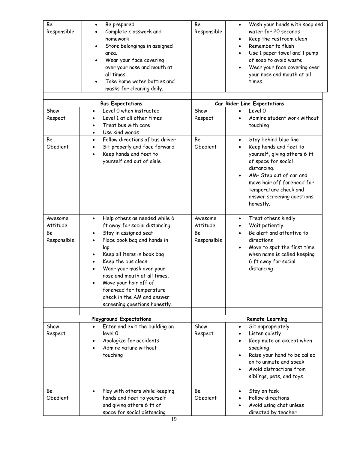| Be<br>Responsible   | Be prepared<br>$\bullet$<br>Complete classwork and<br>homework<br>Store belongings in assigned<br>area.<br>Wear your face covering<br>over your nose and mouth at<br>all times.<br>Take home water bottles and<br>masks for cleaning daily.                                                                                            | Be<br>Responsible   | Wash your hands with soap and<br>$\bullet$<br>water for 20 seconds<br>Keep the restroom clean<br>Remember to flush<br>Use 1 paper towel and 1 pump<br>of soap to avoid waste<br>Wear your face covering over<br>your nose and mouth at all<br>times.            |
|---------------------|----------------------------------------------------------------------------------------------------------------------------------------------------------------------------------------------------------------------------------------------------------------------------------------------------------------------------------------|---------------------|-----------------------------------------------------------------------------------------------------------------------------------------------------------------------------------------------------------------------------------------------------------------|
|                     |                                                                                                                                                                                                                                                                                                                                        |                     |                                                                                                                                                                                                                                                                 |
|                     | <b>Bus Expectations</b>                                                                                                                                                                                                                                                                                                                |                     | Car Rider Line Expectations                                                                                                                                                                                                                                     |
| Show<br>Respect     | Level 0 when instructed<br>٠<br>Level 1 at all other times<br>Treat bus with care<br>٠<br>Use kind words<br>$\bullet$                                                                                                                                                                                                                  | Show<br>Respect     | Level 0<br>Admire student work without<br>touching                                                                                                                                                                                                              |
| Be<br>Obedient      | Follow directions of bus driver<br>$\bullet$<br>Sit properly and face forward<br>$\bullet$<br>Keep hands and feet to<br>$\bullet$<br>yourself and out of aisle                                                                                                                                                                         | Be<br>Obedient      | Stay behind blue line<br>$\bullet$<br>Keep hands and feet to<br>yourself, giving others 6 ft<br>of space for social<br>distancing.<br>AM- Step out of car and<br>move hair off forehead for<br>temperature check and<br>answer screening questions<br>honestly. |
| Awesome<br>Attitude | Help others as needed while 6<br>$\bullet$<br>ft away for social distancing                                                                                                                                                                                                                                                            | Awesome<br>Attitude | Treat others kindly<br>$\bullet$<br>Wait patiently                                                                                                                                                                                                              |
| Be<br>Responsible   | Stay in assigned seat<br>$\bullet$<br>Place book bag and hands in<br>$\bullet$<br>lap<br>Keep all items in book bag<br>Keep the bus clean<br>Wear your mask over your<br>nose and mouth at all times.<br>Move your hair off of<br>$\bullet$<br>forehead for temperature<br>check in the AM and answer<br>screening questions honestly. | Be<br>Responsible   | Be alert and attentive to<br>$\bullet$<br>directions<br>Move to spot the first time<br>$\bullet$<br>when name is called keeping<br>6 ft away for social<br>distancing                                                                                           |
|                     | <b>Playground Expectations</b>                                                                                                                                                                                                                                                                                                         |                     | <b>Remote Learning</b>                                                                                                                                                                                                                                          |
| Show<br>Respect     | Enter and exit the building on<br>level 0<br>Apologize for accidents<br>$\bullet$<br>Admire nature without<br>touching                                                                                                                                                                                                                 | Show<br>Respect     | Sit appropriately<br>Listen quietly<br>Keep mute on except when<br>speaking<br>Raise your hand to be called<br>on to unmute and speak<br>Avoid distractions from<br>siblings, pets, and toys.                                                                   |
| Be<br>Obedient      | Play with others while keeping<br>$\bullet$<br>hands and feet to yourself<br>and giving others 6 ft of<br>space for social distancing                                                                                                                                                                                                  | Be<br>Obedient      | Stay on task<br>Follow directions<br>Avoid using chat unless<br>directed by teacher                                                                                                                                                                             |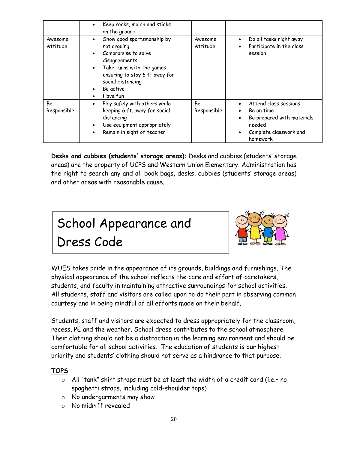|                     | Keep rocks, mulch and sticks<br>٠<br>on the ground                                                                                                                                                                                                 |                     |                                                                                                                                                          |
|---------------------|----------------------------------------------------------------------------------------------------------------------------------------------------------------------------------------------------------------------------------------------------|---------------------|----------------------------------------------------------------------------------------------------------------------------------------------------------|
| Awesome<br>Attitude | Show good sportsmanship by<br>$\bullet$<br>not arguing<br>Compromise to solve<br>disagreements<br>Take turns with the games<br>$\bullet$<br>ensuring to stay 6 ft away for<br>social distancing<br>Be active<br>$\bullet$<br>Have fun<br>$\bullet$ | Awesome<br>Attitude | Do all tasks right away<br>$\bullet$<br>Participate in the class<br>$\bullet$<br>session                                                                 |
| Be<br>Responsible   | Play safely with others while<br>$\bullet$<br>keeping 6 ft. away for social<br>distancing<br>Use equipment appropriately<br>$\bullet$<br>Remain in sight of teacher                                                                                | Be<br>Responsible   | Attend class sessions<br>$\bullet$<br>Be on time<br>$\bullet$<br>Be prepared with materials<br>$\bullet$<br>needed<br>Complete classwork and<br>homework |

**Desks and cubbies (students' storage areas):** Desks and cubbies (students' storage areas) are the property of UCPS and Western Union Elementary. Administration has the right to search any and all book bags, desks, cubbies (students' storage areas) and other areas with reasonable cause.





WUES takes pride in the appearance of its grounds, buildings and furnishings. The physical appearance of the school reflects the care and effort of caretakers, students, and faculty in maintaining attractive surroundings for school activities. All students, staff and visitors are called upon to do their part in observing common courtesy and in being mindful of all efforts made on their behalf.

Students, staff and visitors are expected to dress appropriately for the classroom, recess, PE and the weather. School dress contributes to the school atmosphere. Their clothing should not be a distraction in the learning environment and should be comfortable for all school activities. The education of students is our highest priority and students' clothing should not serve as a hindrance to that purpose.

#### **TOPS**

- o All "tank" shirt straps must be at least the width of a credit card (i.e.– no spaghetti straps, including cold-shoulder tops)
- o No undergarments may show
- o No midriff revealed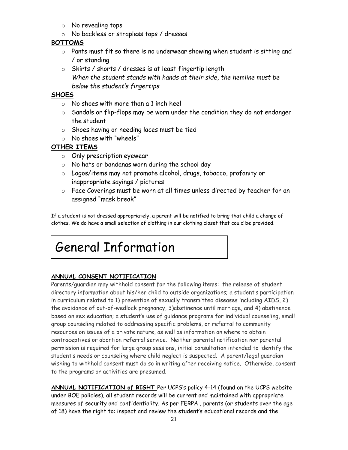- o No revealing tops
- o No backless or strapless tops / dresses

#### **BOTTOMS**

- o Pants must fit so there is no underwear showing when student is sitting and / or standing
- o Skirts / shorts / dresses is at least fingertip length *When the student stands with hands at their side, the hemline must be below the student's fingertips*

#### **SHOES**

- o No shoes with more than a 1 inch heel
- $\circ$  Sandals or flip-flops may be worn under the condition they do not endanger the student
- o Shoes having or needing laces must be tied
- o No shoes with "wheels"

#### **OTHER ITEMS**

- o Only prescription eyewear
- o No hats or bandanas worn during the school day
- o Logos/items may not promote alcohol, drugs, tobacco, profanity or inappropriate sayings / pictures
- o Face Coverings must be worn at all times unless directed by teacher for an assigned "mask break"

If a student is not dressed appropriately, a parent will be notified to bring that child a change of clothes. We do have a small selection of clothing in our clothing closet that could be provided.

# General Information

#### **ANNUAL CONSENT NOTIFICATION**

Parents/guardian may withhold consent for the following items: the release of student directory information about his/her child to outside organizations; a student's participation in curriculum related to 1) prevention of sexually transmitted diseases including AIDS, 2) the avoidance of out-of-wedlock pregnancy, 3)abstinence until marriage, and 4) abstinence based on sex education; a student's use of guidance programs for individual counseling, small group counseling related to addressing specific problems, or referral to community resources on issues of a private nature, as well as information on where to obtain contraceptives or abortion referral service. Neither parental notification nor parental permission is required for large group sessions, initial consultation intended to identify the student's needs or counseling where child neglect is suspected. A parent/legal guardian wishing to withhold consent must do so in writing after receiving notice. Otherwise, consent to the programs or activities are presumed.

**ANNUAL NOTIFICATION of RIGHT** Per UCPS's policy 4-14 (found on the UCPS website under BOE policies), all student records will be current and maintained with appropriate measures of security and confidentiality. As per FERPA , parents (or students over the age of 18) have the right to: inspect and review the student's educational records and the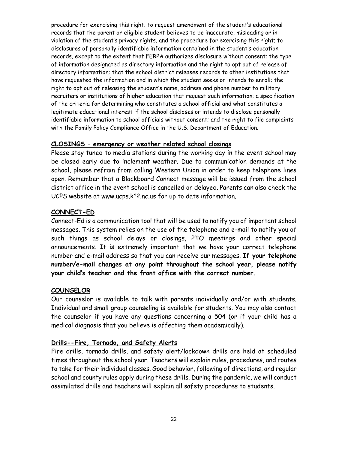procedure for exercising this right; to request amendment of the student's educational records that the parent or eligible student believes to be inaccurate, misleading or in violation of the student's privacy rights, and the procedure for exercising this right; to disclosures of personally identifiable information contained in the student's education records, except to the extent that FERPA authorizes disclosure without consent; the type of information designated as directory information and the right to opt out of release of directory information; that the school district releases records to other institutions that have requested the information and in which the student seeks or intends to enroll; the right to opt out of releasing the student's name, address and phone number to military recruiters or institutions of higher education that request such information; a specification of the criteria for determining who constitutes a school official and what constitutes a legitimate educational interest if the school discloses or intends to disclose personally identifiable information to school officials without consent; and the right to file complaints with the Family Policy Compliance Office in the U.S. Department of Education.

#### **CLOSINGS – emergency or weather related school closings**

Please stay tuned to media stations during the working day in the event school may be closed early due to inclement weather. Due to communication demands at the school, please refrain from calling Western Union in order to keep telephone lines open. Remember that a Blackboard Connect message will be issued from the school district office in the event school is cancelled or delayed. Parents can also check the UCPS website at www.ucps.k12.nc.us for up to date information.

#### **CONNECT-ED**

Connect-Ed is a communication tool that will be used to notify you of important school messages. This system relies on the use of the telephone and e-mail to notify you of such things as school delays or closings, PTO meetings and other special announcements. It is extremely important that we have your correct telephone number and e-mail address so that you can receive our messages. **If your telephone number/e-mail changes at any point throughout the school year, please notify your child's teacher and the front office with the correct number.**

#### **COUNSELOR**

Our counselor is available to talk with parents individually and/or with students. Individual and small group counseling is available for students. You may also contact the counselor if you have any questions concerning a 504 (or if your child has a medical diagnosis that you believe is affecting them academically).

#### **Drills--Fire, Tornado, and Safety Alerts**

Fire drills, tornado drills, and safety alert/lockdown drills are held at scheduled times throughout the school year. Teachers will explain rules, procedures, and routes to take for their individual classes. Good behavior, following of directions, and regular school and county rules apply during these drills. During the pandemic, we will conduct assimilated drills and teachers will explain all safety procedures to students.